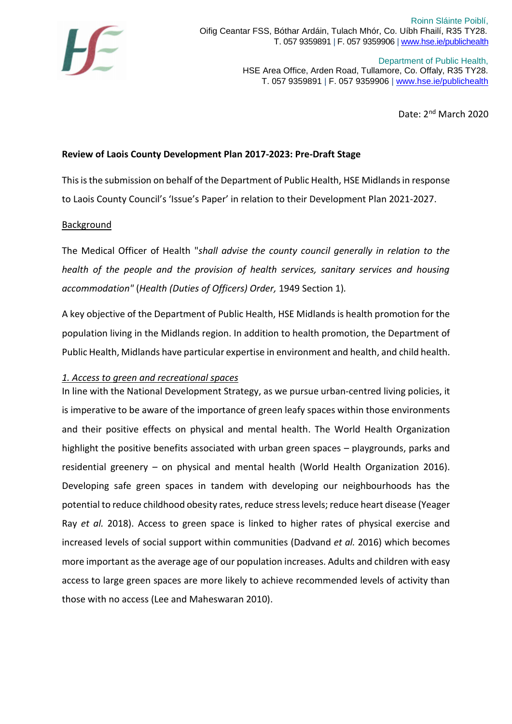

Department of Public Health, HSE Area Office, Arden Road, Tullamore, Co. Offaly, R35 TY28. T. 057 9359891 | F. 057 9359906 [| www.hse.ie/publichealth](http://www.hse.ie/publichealth)

Date: 2nd March 2020

# **Review of Laois County Development Plan 2017-2023: Pre-Draft Stage**

This is the submission on behalf of the Department of Public Health, HSE Midlands in response to Laois County Council's 'Issue's Paper' in relation to their Development Plan 2021-2027.

# Background

The Medical Officer of Health "*shall advise the county council generally in relation to the health of the people and the provision of health services, sanitary services and housing accommodation"* (*Health (Duties of Officers) Order,* 1949 Section 1)*.*

A key objective of the Department of Public Health, HSE Midlands is health promotion for the population living in the Midlands region. In addition to health promotion, the Department of Public Health, Midlands have particular expertise in environment and health, and child health.

### *1. Access to green and recreational spaces*

In line with the National Development Strategy, as we pursue urban-centred living policies, it is imperative to be aware of the importance of green leafy spaces within those environments and their positive effects on physical and mental health. The World Health Organization highlight the positive benefits associated with urban green spaces – playgrounds, parks and residential greenery – on physical and mental health (World Health Organization 2016). Developing safe green spaces in tandem with developing our neighbourhoods has the potential to reduce childhood obesity rates, reduce stress levels; reduce heart disease (Yeager Ray *et al.* 2018). Access to green space is linked to higher rates of physical exercise and increased levels of social support within communities (Dadvand *et al.* 2016) which becomes more important as the average age of our population increases. Adults and children with easy access to large green spaces are more likely to achieve recommended levels of activity than those with no access (Lee and Maheswaran 2010).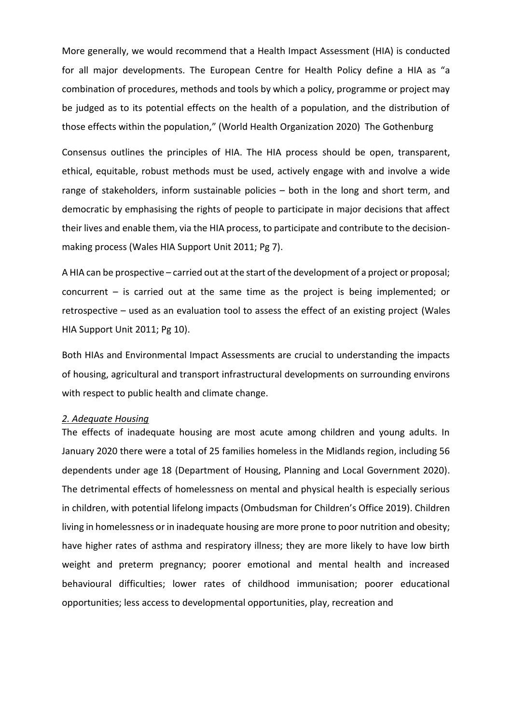More generally, we would recommend that a Health Impact Assessment (HIA) is conducted for all major developments. The European Centre for Health Policy define a HIA as "a combination of procedures, methods and tools by which a policy, programme or project may be judged as to its potential effects on the health of a population, and the distribution of those effects within the population," (World Health Organization 2020) The Gothenburg

Consensus outlines the principles of HIA. The HIA process should be open, transparent, ethical, equitable, robust methods must be used, actively engage with and involve a wide range of stakeholders, inform sustainable policies – both in the long and short term, and democratic by emphasising the rights of people to participate in major decisions that affect their lives and enable them, via the HIA process, to participate and contribute to the decisionmaking process (Wales HIA Support Unit 2011; Pg 7).

A HIA can be prospective – carried out at the start of the development of a project or proposal; concurrent – is carried out at the same time as the project is being implemented; or retrospective – used as an evaluation tool to assess the effect of an existing project (Wales HIA Support Unit 2011; Pg 10).

Both HIAs and Environmental Impact Assessments are crucial to understanding the impacts of housing, agricultural and transport infrastructural developments on surrounding environs with respect to public health and climate change.

#### *2. Adequate Housing*

The effects of inadequate housing are most acute among children and young adults. In January 2020 there were a total of 25 families homeless in the Midlands region, including 56 dependents under age 18 (Department of Housing, Planning and Local Government 2020). The detrimental effects of homelessness on mental and physical health is especially serious in children, with potential lifelong impacts (Ombudsman for Children's Office 2019). Children living in homelessness or in inadequate housing are more prone to poor nutrition and obesity; have higher rates of asthma and respiratory illness; they are more likely to have low birth weight and preterm pregnancy; poorer emotional and mental health and increased behavioural difficulties; lower rates of childhood immunisation; poorer educational opportunities; less access to developmental opportunities, play, recreation and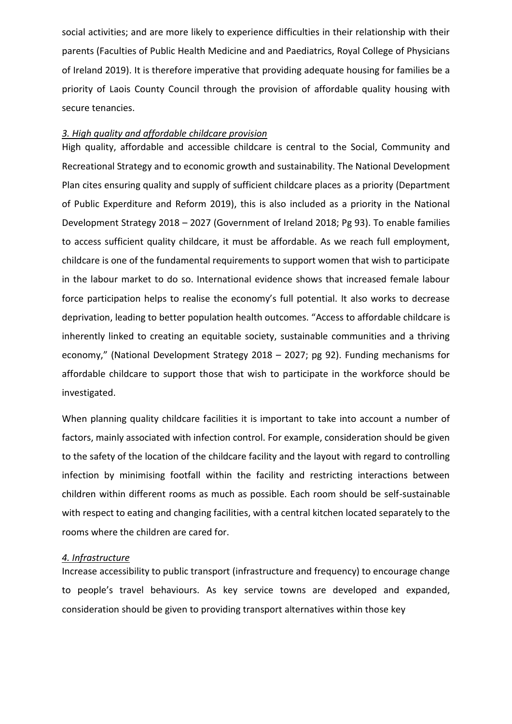social activities; and are more likely to experience difficulties in their relationship with their parents (Faculties of Public Health Medicine and and Paediatrics, Royal College of Physicians of Ireland 2019). It is therefore imperative that providing adequate housing for families be a priority of Laois County Council through the provision of affordable quality housing with secure tenancies.

## *3. High quality and affordable childcare provision*

High quality, affordable and accessible childcare is central to the Social, Community and Recreational Strategy and to economic growth and sustainability. The National Development Plan cites ensuring quality and supply of sufficient childcare places as a priority (Department of Public Experditure and Reform 2019), this is also included as a priority in the National Development Strategy 2018 – 2027 (Government of Ireland 2018; Pg 93). To enable families to access sufficient quality childcare, it must be affordable. As we reach full employment, childcare is one of the fundamental requirements to support women that wish to participate in the labour market to do so. International evidence shows that increased female labour force participation helps to realise the economy's full potential. It also works to decrease deprivation, leading to better population health outcomes. "Access to affordable childcare is inherently linked to creating an equitable society, sustainable communities and a thriving economy," (National Development Strategy 2018 – 2027; pg 92). Funding mechanisms for affordable childcare to support those that wish to participate in the workforce should be investigated.

When planning quality childcare facilities it is important to take into account a number of factors, mainly associated with infection control. For example, consideration should be given to the safety of the location of the childcare facility and the layout with regard to controlling infection by minimising footfall within the facility and restricting interactions between children within different rooms as much as possible. Each room should be self-sustainable with respect to eating and changing facilities, with a central kitchen located separately to the rooms where the children are cared for.

### *4. Infrastructure*

Increase accessibility to public transport (infrastructure and frequency) to encourage change to people's travel behaviours. As key service towns are developed and expanded, consideration should be given to providing transport alternatives within those key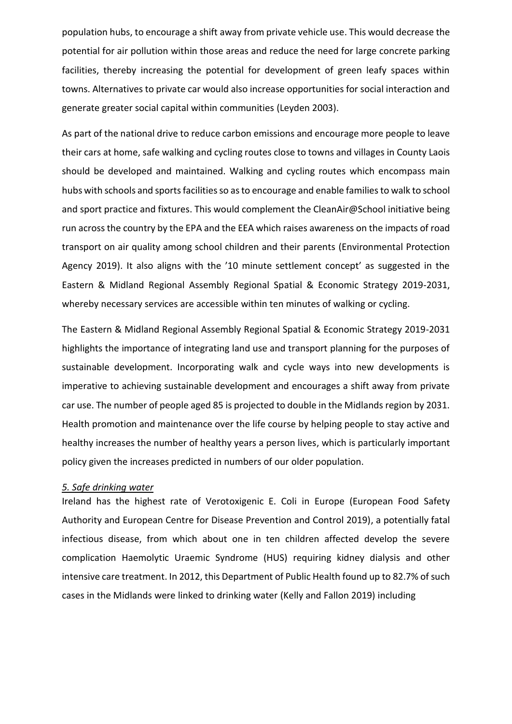population hubs, to encourage a shift away from private vehicle use. This would decrease the potential for air pollution within those areas and reduce the need for large concrete parking facilities, thereby increasing the potential for development of green leafy spaces within towns. Alternatives to private car would also increase opportunities for social interaction and generate greater social capital within communities (Leyden 2003).

As part of the national drive to reduce carbon emissions and encourage more people to leave their cars at home, safe walking and cycling routes close to towns and villages in County Laois should be developed and maintained. Walking and cycling routes which encompass main hubs with schools and sports facilities so as to encourage and enable families to walk to school and sport practice and fixtures. This would complement the CleanAir@School initiative being run across the country by the EPA and the EEA which raises awareness on the impacts of road transport on air quality among school children and their parents (Environmental Protection Agency 2019). It also aligns with the '10 minute settlement concept' as suggested in the Eastern & Midland Regional Assembly Regional Spatial & Economic Strategy 2019-2031, whereby necessary services are accessible within ten minutes of walking or cycling.

The Eastern & Midland Regional Assembly Regional Spatial & Economic Strategy 2019-2031 highlights the importance of integrating land use and transport planning for the purposes of sustainable development. Incorporating walk and cycle ways into new developments is imperative to achieving sustainable development and encourages a shift away from private car use. The number of people aged 85 is projected to double in the Midlands region by 2031. Health promotion and maintenance over the life course by helping people to stay active and healthy increases the number of healthy years a person lives, which is particularly important policy given the increases predicted in numbers of our older population.

## *5. Safe drinking water*

Ireland has the highest rate of Verotoxigenic E. Coli in Europe (European Food Safety Authority and European Centre for Disease Prevention and Control 2019), a potentially fatal infectious disease, from which about one in ten children affected develop the severe complication Haemolytic Uraemic Syndrome (HUS) requiring kidney dialysis and other intensive care treatment. In 2012, this Department of Public Health found up to 82.7% of such cases in the Midlands were linked to drinking water (Kelly and Fallon 2019) including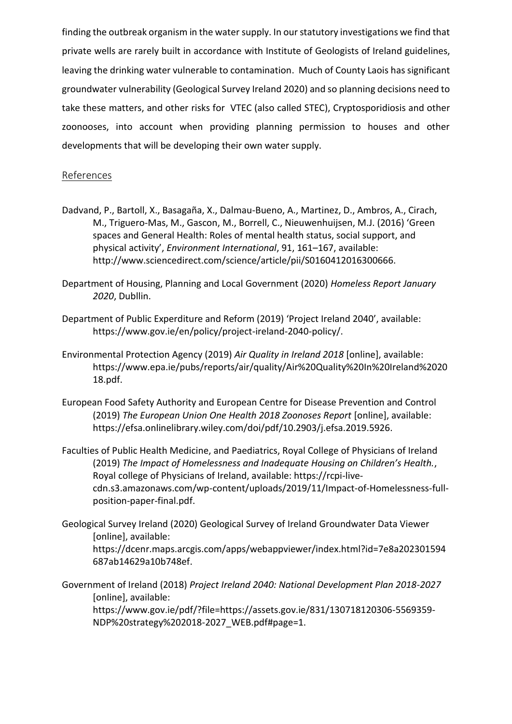finding the outbreak organism in the water supply. In our statutory investigations we find that private wells are rarely built in accordance with Institute of Geologists of Ireland guidelines, leaving the drinking water vulnerable to contamination. Much of County Laois has significant groundwater vulnerability (Geological Survey Ireland 2020) and so planning decisions need to take these matters, and other risks for VTEC (also called STEC), Cryptosporidiosis and other zoonooses, into account when providing planning permission to houses and other developments that will be developing their own water supply.

# References

- Dadvand, P., Bartoll, X., Basagaña, X., Dalmau-Bueno, A., Martinez, D., Ambros, A., Cirach, M., Triguero-Mas, M., Gascon, M., Borrell, C., Nieuwenhuijsen, M.J. (2016) 'Green spaces and General Health: Roles of mental health status, social support, and physical activity', *Environment International*, 91, 161–167, available: http://www.sciencedirect.com/science/article/pii/S0160412016300666.
- Department of Housing, Planning and Local Government (2020) *Homeless Report January 2020*, Dubllin.
- Department of Public Experditure and Reform (2019) 'Project Ireland 2040', available: https://www.gov.ie/en/policy/project-ireland-2040-policy/.
- Environmental Protection Agency (2019) *Air Quality in Ireland 2018* [online], available: https://www.epa.ie/pubs/reports/air/quality/Air%20Quality%20In%20Ireland%2020 18.pdf.
- European Food Safety Authority and European Centre for Disease Prevention and Control (2019) *The European Union One Health 2018 Zoonoses Report* [online], available: https://efsa.onlinelibrary.wiley.com/doi/pdf/10.2903/j.efsa.2019.5926.
- Faculties of Public Health Medicine, and Paediatrics, Royal College of Physicians of Ireland (2019) *The Impact of Homelessness and Inadequate Housing on Children's Health.*, Royal college of Physicians of Ireland, available: https://rcpi-livecdn.s3.amazonaws.com/wp-content/uploads/2019/11/Impact-of-Homelessness-fullposition-paper-final.pdf.
- Geological Survey Ireland (2020) Geological Survey of Ireland Groundwater Data Viewer [online], available: https://dcenr.maps.arcgis.com/apps/webappviewer/index.html?id=7e8a202301594 687ab14629a10b748ef.
- Government of Ireland (2018) *Project Ireland 2040: National Development Plan 2018-2027* [online], available: https://www.gov.ie/pdf/?file=https://assets.gov.ie/831/130718120306-5569359- NDP%20strategy%202018-2027\_WEB.pdf#page=1.